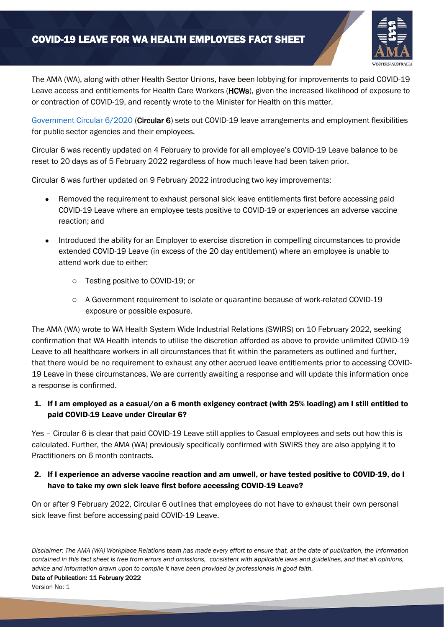# COVID-19 LEAVE FOR WA HEALTH EMPLOYEES FACT SHEET



The AMA (WA), along with other Health Sector Unions, have been lobbying for improvements to paid COVID-19 Leave access and entitlements for Health Care Workers (HCWs), given the increased likelihood of exposure to or contraction of COVID-19, and recently wrote to the Minister for Health on this matter.

[Government Circular 6/2020](https://www.commerce.wa.gov.au/sites/default/files/atoms/files/revised_circular_6_-_february_2022.pdf) (Circular 6) sets out COVID-19 leave arrangements and employment flexibilities for public sector agencies and their employees.

Circular 6 was recently updated on 4 February to provide for all employee's COVID-19 Leave balance to be reset to 20 days as of 5 February 2022 regardless of how much leave had been taken prior.

Circular 6 was further updated on 9 February 2022 introducing two key improvements:

- Removed the requirement to exhaust personal sick leave entitlements first before accessing paid COVID-19 Leave where an employee tests positive to COVID-19 or experiences an adverse vaccine reaction; and
- Introduced the ability for an Employer to exercise discretion in compelling circumstances to provide extended COVID-19 Leave (in excess of the 20 day entitlement) where an employee is unable to attend work due to either:
	- o Testing positive to COVID-19; or
	- o A Government requirement to isolate or quarantine because of work-related COVID-19 exposure or possible exposure.

The AMA (WA) wrote to WA Health System Wide Industrial Relations (SWIRS) on 10 February 2022, seeking confirmation that WA Health intends to utilise the discretion afforded as above to provide unlimited COVID-19 Leave to all healthcare workers in all circumstances that fit within the parameters as outlined and further, that there would be no requirement to exhaust any other accrued leave entitlements prior to accessing COVID-19 Leave in these circumstances. We are currently awaiting a response and will update this information once a response is confirmed.

## 1. If I am employed as a casual/on a 6 month exigency contract (with 25% loading) am I still entitled to paid COVID-19 Leave under Circular 6?

Yes – Circular 6 is clear that paid COVID-19 Leave still applies to Casual employees and sets out how this is calculated. Further, the AMA (WA) previously specifically confirmed with SWIRS they are also applying it to Practitioners on 6 month contracts.

#### 2. If I experience an adverse vaccine reaction and am unwell, or have tested positive to COVID-19, do I have to take my own sick leave first before accessing COVID-19 Leave?

On or after 9 February 2022, Circular 6 outlines that employees do not have to exhaust their own personal sick leave first before accessing paid COVID-19 Leave.

*Disclaimer: The AMA (WA) Workplace Relations team has made every effort to ensure that, at the date of publication, the information contained in this fact sheet is free from errors and omissions, consistent with applicable laws and guidelines, and that all opinions, advice and information drawn upon to compile it have been provided by professionals in good faith.*